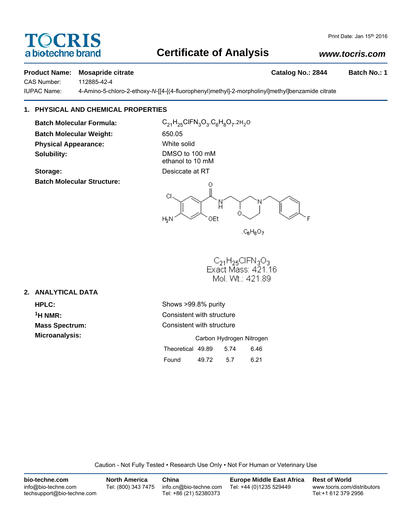# CRIS a biotechne brand

## **Certificate of Analysis**

## *www.tocris.com*

#### **Product Name: Mosapride citrate Catalog No.: 2844 Batch No.: 1**

CAS Number: 112885-42-4

IUPAC Name: 4-Amino-5-chloro-2-ethoxy-*N*-[[4-[(4-fluorophenyl)methyl]-2-morpholinyl]methyl]benzamide citrate

## **1. PHYSICAL AND CHEMICAL PROPERTIES**

**Batch Molecular Weight:** 650.05 **Physical Appearance:** White solid **Solubility:** DMSO to 100 mM

**Storage:** Desiccate at RT **Batch Molecular Structure:**

**Batch Molecular Formula:** C<sub>21</sub>H<sub>25</sub>ClFN<sub>3</sub>O<sub>3</sub>.C<sub>6</sub>H<sub>8</sub>O<sub>7</sub>.2H<sub>2</sub>O

ethanol to 10 mM

Ω CI. N OEt  $H_2N$ 

 $C_6H_8O_7$ 

 $C_{21}H_{25}CIFN_3O_3$ <br>Exact Mass: 421.16 Mol. Wt.: 421.89

## **2. ANALYTICAL DATA**

**HPLC:** Shows >99.8% purity **1H NMR:** Consistent with structure **Mass Spectrum:** Consistent with structure **Microanalysis:** Microanalysis: **Carbon Hydrogen Nitrogen** Theoretical 49.89 5.74 6.46 Found 49.72 5.7 6.21

Caution - Not Fully Tested • Research Use Only • Not For Human or Veterinary Use

| bio-techne.com                                    | <b>North America</b> | China                                            | <b>Europe Middle East Africa</b> | <b>Rest of World</b>                               |
|---------------------------------------------------|----------------------|--------------------------------------------------|----------------------------------|----------------------------------------------------|
| info@bio-techne.com<br>techsupport@bio-techne.com | Tel: (800) 343 7475  | info.cn@bio-techne.com<br>Tel: +86 (21) 52380373 | Tel: +44 (0)1235 529449          | www.tocris.com/distributors<br>Tel:+1 612 379 2956 |